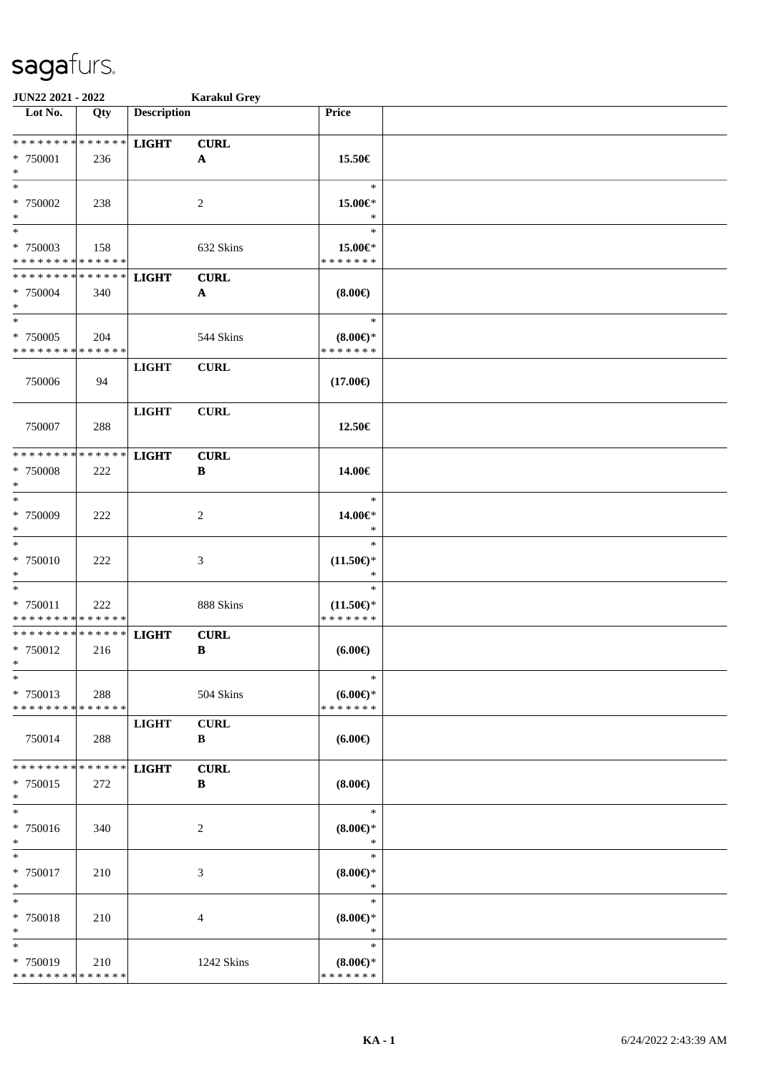| JUN22 2021 - 2022                                                   |     |                    | <b>Karakul Grey</b>                      |                                                |  |
|---------------------------------------------------------------------|-----|--------------------|------------------------------------------|------------------------------------------------|--|
| Lot No.                                                             | Qty | <b>Description</b> |                                          | Price                                          |  |
| * * * * * * * * * * * * * *<br>* 750001<br>$\ast$                   | 236 | <b>LIGHT</b>       | <b>CURL</b><br>${\bf A}$                 | 15.50€                                         |  |
| $*$<br>* 750002<br>$\ast$                                           | 238 |                    | 2                                        | $\ast$<br>15.00€*<br>$\ast$                    |  |
| $\overline{\phantom{0}}$<br>* 750003<br>* * * * * * * * * * * * * * | 158 |                    | 632 Skins                                | $\ast$<br>15.00€*<br>* * * * * * *             |  |
| * * * * * * * * * * * * * *<br>* 750004<br>$\ast$                   | 340 | <b>LIGHT</b>       | <b>CURL</b><br>$\boldsymbol{\mathsf{A}}$ | $(8.00\epsilon)$                               |  |
| $*$<br>$* 750005$<br>* * * * * * * * * * * * * *                    | 204 |                    | 544 Skins                                | $\ast$<br>$(8.00\epsilon)$ *<br>* * * * * * *  |  |
| 750006                                                              | 94  | <b>LIGHT</b>       | <b>CURL</b>                              | $(17.00\epsilon)$                              |  |
| 750007                                                              | 288 | <b>LIGHT</b>       | <b>CURL</b>                              | 12.50€                                         |  |
| * * * * * * * * * * * * * *<br>* 750008<br>$\ast$                   | 222 | <b>LIGHT</b>       | <b>CURL</b><br>$\, {\bf B}$              | 14.00€                                         |  |
| $\ast$<br>* 750009<br>$\ast$                                        | 222 |                    | 2                                        | $\ast$<br>14.00€*<br>$\ast$                    |  |
| $\ast$<br>$* 750010$<br>$\ast$                                      | 222 |                    | $\mathfrak{Z}$                           | $\ast$<br>$(11.50\mathbb{E})^*$<br>$\ast$      |  |
| $\ast$<br>$* 750011$<br>* * * * * * * * * * * * * *                 | 222 |                    | 888 Skins                                | $\ast$<br>$(11.50\epsilon)$ *<br>* * * * * * * |  |
| ******** <mark>******</mark><br>* 750012<br>$*$                     | 216 | <b>LIGHT</b>       | <b>CURL</b><br>B                         | $(6.00\epsilon)$                               |  |
| $\ast$<br>* 750013<br>* * * * * * * * * * * * * *                   | 288 |                    | 504 Skins                                | $\ast$<br>(6.00)<br>* * * * * * *              |  |
| 750014                                                              | 288 | <b>LIGHT</b>       | <b>CURL</b><br>B                         | $(6.00\epsilon)$                               |  |
| * * * * * * * * <mark>* * * * * * *</mark><br>* 750015<br>$*$       | 272 | <b>LIGHT</b>       | <b>CURL</b><br>B                         | $(8.00\epsilon)$                               |  |
| $\ast$<br>* 750016<br>$*$                                           | 340 |                    | 2                                        | $\ast$<br>(8.00)<br>$\ast$                     |  |
| $\ast$<br>* 750017<br>$*$                                           | 210 |                    | 3                                        | $\ast$<br>(8.00)<br>$\ast$                     |  |
| $\ast$<br>* 750018<br>$\ast$                                        | 210 |                    | 4                                        | $\ast$<br>$(8.00\epsilon)$ *<br>$\ast$         |  |
| $\ast$<br>* 750019<br>* * * * * * * * * * * * * *                   | 210 |                    | 1242 Skins                               | $\ast$<br>$(8.00\epsilon)$ *<br>* * * * * * *  |  |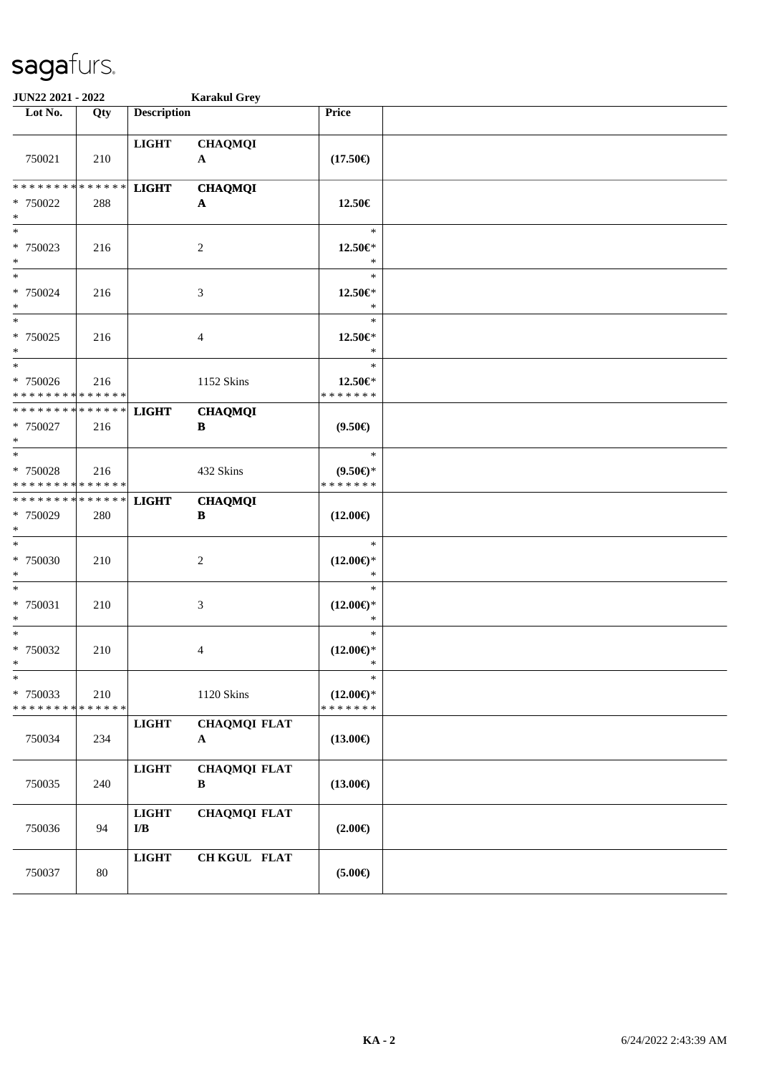| <b>JUN22 2021 - 2022</b>                           |                    | <b>Karakul Grey</b>                     |                                     |                                                |  |
|----------------------------------------------------|--------------------|-----------------------------------------|-------------------------------------|------------------------------------------------|--|
| Lot No.                                            | Qty                | <b>Description</b>                      |                                     | Price                                          |  |
| 750021                                             | 210                | <b>LIGHT</b>                            | <b>CHAQMQI</b><br>$\mathbf{A}$      | $(17.50\epsilon)$                              |  |
| * * * * * * * *<br>* 750022<br>$\ast$              | * * * * * *<br>288 | <b>LIGHT</b>                            | <b>CHAQMQI</b><br>A                 | 12.50€                                         |  |
| $*$<br>* 750023<br>$*$                             | 216                |                                         | $\overline{c}$                      | $\ast$<br>12.50€*<br>$\ast$                    |  |
| $*$<br>$* 750024$<br>$*$                           | 216                |                                         | 3                                   | $\ast$<br>12.50€*<br>$\ast$                    |  |
| $\overline{\ast}$<br>* 750025<br>$*$               | 216                |                                         | $\overline{4}$                      | $\ast$<br>12.50€*<br>$\ast$                    |  |
| $*$<br>$* 750026$<br>* * * * * * * * * * * * * *   | 216                |                                         | 1152 Skins                          | $\ast$<br>12.50€*<br>* * * * * * *             |  |
| * * * * * * * * * * * * * * *<br>$* 750027$<br>$*$ | 216                | <b>LIGHT</b>                            | <b>CHAQMQI</b><br>B                 | $(9.50\epsilon)$                               |  |
| $*$<br>* 750028<br>* * * * * * * * * * * * * *     | 216                |                                         | 432 Skins                           | $\ast$<br>$(9.50 \in )^*$<br>* * * * * * *     |  |
| * * * * * * * * * * * * * * *<br>* 750029<br>$*$   | 280                | <b>LIGHT</b>                            | <b>CHAQMQI</b><br>B                 | $(12.00\epsilon)$                              |  |
| $*$<br>* 750030<br>$*$                             | 210                |                                         | 2                                   | $\ast$<br>$(12.00\epsilon)$ *<br>$\ast$        |  |
| $*$<br>* 750031<br>$\ast$                          | 210                |                                         | 3                                   | $\ast$<br>$(12.00\epsilon)$ *<br>$\ast$        |  |
| $*$<br>* 750032<br>$*$                             | 210                |                                         | 4                                   | $\ast$<br>$(12.00\epsilon)$ *<br>$\ast$        |  |
| $\ast$<br>* 750033<br>* * * * * * * *              | 210<br>* * * * * * |                                         | 1120 Skins                          | $\ast$<br>$(12.00\epsilon)$ *<br>* * * * * * * |  |
| 750034                                             | 234                | <b>LIGHT</b>                            | <b>CHAQMQI FLAT</b><br>$\mathbf{A}$ | $(13.00\epsilon)$                              |  |
| 750035                                             | 240                | <b>LIGHT</b>                            | <b>CHAQMQI FLAT</b><br>B            | $(13.00\epsilon)$                              |  |
| 750036                                             | 94                 | <b>LIGHT</b><br>$\mathbf{I}/\mathbf{B}$ | <b>CHAQMQI FLAT</b>                 | $(2.00\epsilon)$                               |  |
| 750037                                             | $80\,$             | LIGHT                                   | CH KGUL FLAT                        | $(5.00\epsilon)$                               |  |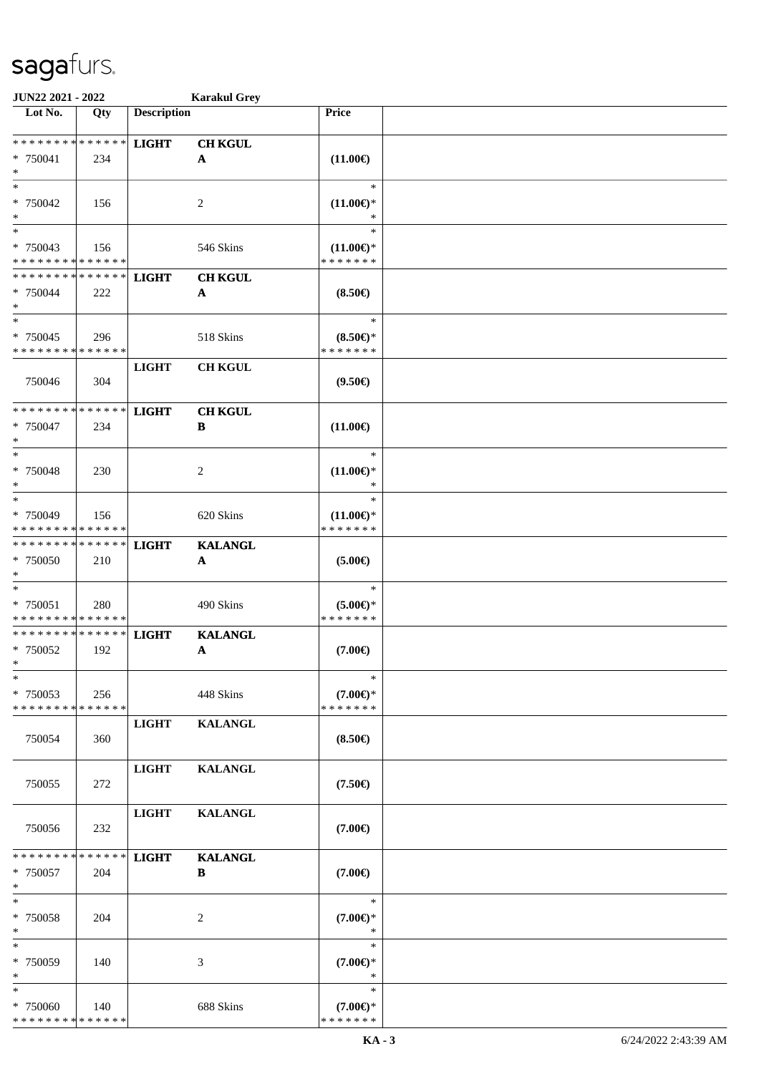| JUN22 2021 - 2022                                             |     |                    | <b>Karakul Grey</b>                         |                                                  |  |
|---------------------------------------------------------------|-----|--------------------|---------------------------------------------|--------------------------------------------------|--|
| Lot No.                                                       | Qty | <b>Description</b> |                                             | Price                                            |  |
| ******** <mark>******</mark><br>* 750041<br>$\ast$            | 234 | <b>LIGHT</b>       | <b>CH KGUL</b><br>$\mathbf{A}$              | $(11.00\epsilon)$                                |  |
| $*$<br>* 750042<br>$\ast$                                     | 156 |                    | $\overline{c}$                              | $\ast$<br>$(11.00\epsilon)$ *                    |  |
| $\ast$<br>* 750043<br>* * * * * * * * * * * * * *             | 156 |                    | 546 Skins                                   | $\ast$<br>$(11.00\epsilon)$ *<br>* * * * * * *   |  |
| * * * * * * * * * * * * * *<br>* 750044<br>$\ast$             | 222 | <b>LIGHT</b>       | <b>CH KGUL</b><br>$\mathbf{A}$              | $(8.50\epsilon)$                                 |  |
| $\ast$<br>* 750045<br>* * * * * * * * * * * * * *             | 296 |                    | 518 Skins                                   | $\ast$<br>$(8.50 \in )^*$<br>* * * * * * *       |  |
| 750046                                                        | 304 | <b>LIGHT</b>       | <b>CH KGUL</b>                              | $(9.50\epsilon)$                                 |  |
| * * * * * * * * * * * * * *<br>* 750047<br>$\ast$             | 234 | <b>LIGHT</b>       | <b>CH KGUL</b><br>B                         | $(11.00\epsilon)$                                |  |
| $*$<br>* 750048<br>$\ast$                                     | 230 |                    | 2                                           | $\ast$<br>$(11.00\epsilon)$ *<br>∗               |  |
| $\ast$<br>* 750049<br>* * * * * * * * * * * * * *             | 156 |                    | 620 Skins                                   | $\ast$<br>$(11.00\mathbb{E})^*$<br>* * * * * * * |  |
| * * * * * * * * * * * * * *<br>$* 750050$<br>$*$              | 210 | <b>LIGHT</b>       | <b>KALANGL</b><br>$\boldsymbol{\mathsf{A}}$ | $(5.00\epsilon)$                                 |  |
| $\ast$<br>* 750051<br>* * * * * * * * * * * * * *             | 280 |                    | 490 Skins                                   | $\ast$<br>$(5.00 \in )^*$<br>* * * * * * *       |  |
| * * * * * * * * <mark>* * * * * * *</mark><br>* 750052<br>$*$ | 192 | <b>LIGHT</b>       | <b>KALANGL</b><br>$\mathbf A$               | $(7.00\epsilon)$                                 |  |
| $\ast$<br>* 750053<br>* * * * * * * * * * * * * *             | 256 |                    | 448 Skins                                   | $\ast$<br>$(7.00\epsilon)$ *<br>* * * * * * *    |  |
| 750054                                                        | 360 | <b>LIGHT</b>       | <b>KALANGL</b>                              | $(8.50\epsilon)$                                 |  |
| 750055                                                        | 272 | <b>LIGHT</b>       | <b>KALANGL</b>                              | $(7.50\epsilon)$                                 |  |
| 750056                                                        | 232 | <b>LIGHT</b>       | <b>KALANGL</b>                              | $(7.00\epsilon)$                                 |  |
| * * * * * * * * * * * * * * *<br>* 750057<br>$*$              | 204 | <b>LIGHT</b>       | <b>KALANGL</b><br>B                         | $(7.00\epsilon)$                                 |  |
| $\ast$<br>* 750058<br>$*$                                     | 204 |                    | 2                                           | $\ast$<br>$(7.00\epsilon)$ *<br>$\ast$           |  |
| $\ast$<br>* 750059<br>$\ast$                                  | 140 |                    | 3                                           | $\ast$<br>$(7.00\epsilon)$ *<br>$\ast$           |  |
| $*$<br>* 750060<br>* * * * * * * * * * * * * *                | 140 |                    | 688 Skins                                   | $\ast$<br>$(7.00\epsilon)$ *<br>* * * * * * *    |  |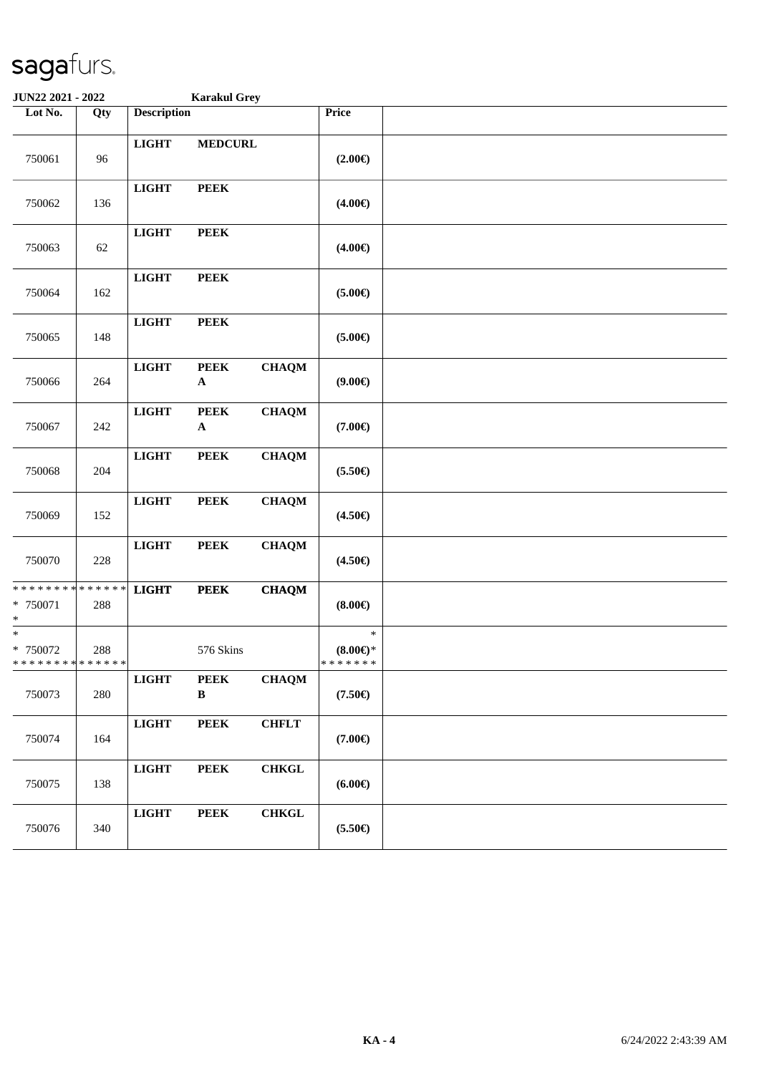| JUN22 2021 - 2022                                                |     |                    | <b>Karakul Grey</b>         |              |                                               |  |
|------------------------------------------------------------------|-----|--------------------|-----------------------------|--------------|-----------------------------------------------|--|
| Lot No.                                                          | Qty | <b>Description</b> |                             |              | Price                                         |  |
| 750061                                                           | 96  | <b>LIGHT</b>       | <b>MEDCURL</b>              |              | $(2.00\epsilon)$                              |  |
| 750062                                                           | 136 | <b>LIGHT</b>       | <b>PEEK</b>                 |              | $(4.00\epsilon)$                              |  |
| 750063                                                           | 62  | <b>LIGHT</b>       | <b>PEEK</b>                 |              | $(4.00\epsilon)$                              |  |
| 750064                                                           | 162 | <b>LIGHT</b>       | <b>PEEK</b>                 |              | $(5.00\epsilon)$                              |  |
| 750065                                                           | 148 | <b>LIGHT</b>       | <b>PEEK</b>                 |              | $(5.00\epsilon)$                              |  |
| 750066                                                           | 264 | <b>LIGHT</b>       | <b>PEEK</b><br>$\mathbf A$  | <b>CHAQM</b> | (9.00)                                        |  |
| 750067                                                           | 242 | <b>LIGHT</b>       | <b>PEEK</b><br>$\mathbf A$  | <b>CHAQM</b> | $(7.00\epsilon)$                              |  |
| 750068                                                           | 204 | <b>LIGHT</b>       | <b>PEEK</b>                 | <b>CHAQM</b> | $(5.50\epsilon)$                              |  |
| 750069                                                           | 152 | <b>LIGHT</b>       | <b>PEEK</b>                 | <b>CHAQM</b> | $(4.50\epsilon)$                              |  |
| 750070                                                           | 228 | <b>LIGHT</b>       | <b>PEEK</b>                 | <b>CHAQM</b> | $(4.50\epsilon)$                              |  |
| * * * * * * * * <mark>* * * * * * *</mark><br>* 750071<br>$\ast$ | 288 | <b>LIGHT</b>       | <b>PEEK</b>                 | <b>CHAQM</b> | (8.00)                                        |  |
| $\overline{\ast}$<br>$* 750072$<br>* * * * * * * * * * * * * *   | 288 |                    | 576 Skins                   |              | $\ast$<br>$(8.00\epsilon)$ *<br>* * * * * * * |  |
| 750073                                                           | 280 | <b>LIGHT</b>       | <b>PEEK</b><br>$\, {\bf B}$ | <b>CHAQM</b> | $(7.50\epsilon)$                              |  |
| 750074                                                           | 164 | $_{\rm LIGHT}$     | <b>PEEK</b>                 | <b>CHFLT</b> | $(7.00\epsilon)$                              |  |
| 750075                                                           | 138 | <b>LIGHT</b>       | <b>PEEK</b>                 | <b>CHKGL</b> | $(6.00\epsilon)$                              |  |
| 750076                                                           | 340 | $_{\rm LIGHT}$     | <b>PEEK</b>                 | <b>CHKGL</b> | $(5.50\epsilon)$                              |  |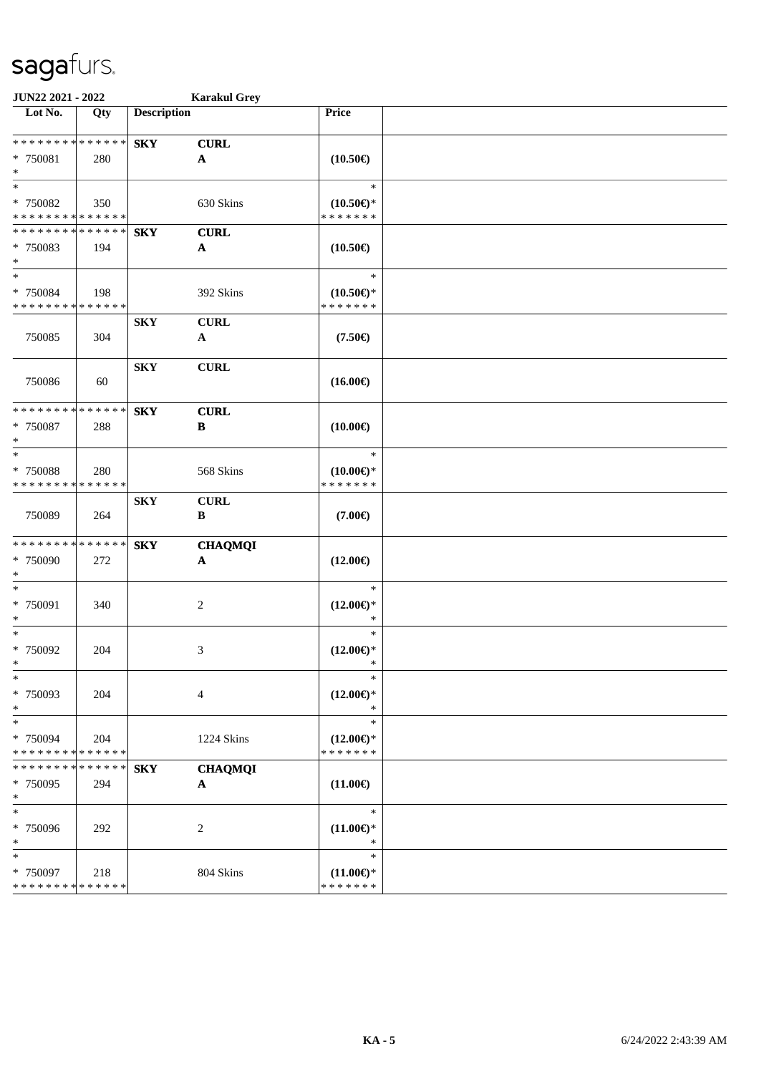| JUN22 2021 - 2022           |             |                         | <b>Karakul Grey</b>       |                          |  |
|-----------------------------|-------------|-------------------------|---------------------------|--------------------------|--|
| Lot No.                     | Qty         | <b>Description</b>      |                           | Price                    |  |
| * * * * * * * * * * * * * * |             | <b>SKY</b>              | <b>CURL</b>               |                          |  |
| * 750081                    | 280         |                         | $\boldsymbol{\mathsf{A}}$ | $(10.50\epsilon)$        |  |
| $\ast$                      |             |                         |                           |                          |  |
| $\ast$                      |             |                         |                           | $\ast$                   |  |
| * 750082                    | 350         |                         | 630 Skins                 | $(10.50\epsilon)$ *      |  |
| * * * * * * * * * * * * * * |             |                         |                           | * * * * * * *            |  |
| * * * * * * * * * * * * * * |             | <b>SKY</b>              | <b>CURL</b>               |                          |  |
| * 750083                    | 194         |                         | $\mathbf{A}$              | $(10.50\epsilon)$        |  |
| $\ast$                      |             |                         |                           |                          |  |
| $\ast$                      |             |                         |                           | $\ast$                   |  |
| * 750084                    | 198         |                         | 392 Skins                 | $(10.50\epsilon)$ *      |  |
| * * * * * * * * * * * * * * |             |                         |                           | * * * * * * *            |  |
|                             |             | <b>SKY</b>              | <b>CURL</b>               |                          |  |
| 750085                      | 304         |                         | $\mathbf{A}$              | $(7.50\epsilon)$         |  |
|                             |             |                         |                           |                          |  |
|                             |             | ${\bf S}{\bf K}{\bf Y}$ | <b>CURL</b>               |                          |  |
| 750086                      | 60          |                         |                           | $(16.00\epsilon)$        |  |
| * * * * * * * * * * * * * * |             | <b>SKY</b>              | <b>CURL</b>               |                          |  |
| * 750087                    | 288         |                         | $\, {\bf B}$              | $(10.00\epsilon)$        |  |
| $\ast$                      |             |                         |                           |                          |  |
| $\ast$                      |             |                         |                           | $\ast$                   |  |
| * 750088                    | 280         |                         | 568 Skins                 | $(10.00\epsilon)$ *      |  |
| * * * * * * * * * * * * * * |             |                         |                           | * * * * * * *            |  |
|                             |             | <b>SKY</b>              | <b>CURL</b>               |                          |  |
| 750089                      | 264         |                         | $\, {\bf B}$              | $(7.00\epsilon)$         |  |
|                             |             |                         |                           |                          |  |
| * * * * * * * * * * * * * * |             | <b>SKY</b>              | <b>CHAQMQI</b>            |                          |  |
| * 750090                    | 272         |                         | $\boldsymbol{\mathsf{A}}$ | $(12.00\epsilon)$        |  |
| $\ast$<br>$\ast$            |             |                         |                           | $\ast$                   |  |
|                             |             |                         |                           |                          |  |
| $* 750091$<br>$\ast$        | 340         |                         | $\sqrt{2}$                | $(12.00\epsilon)$ *<br>* |  |
| $\ast$                      |             |                         |                           | $\ast$                   |  |
| $* 750092$                  | 204         |                         | 3                         | $(12.00\epsilon)$ *      |  |
| $*$                         |             |                         |                           | $\ast$                   |  |
| $*$                         |             |                         |                           | $\ast$                   |  |
| * 750093                    | 204         |                         | $\overline{4}$            | $(12.00\epsilon)$ *      |  |
| $\ast$                      |             |                         |                           | $\ast$                   |  |
| $\ast$                      |             |                         |                           | $\ast$                   |  |
| * 750094                    | 204         |                         | 1224 Skins                | $(12.00\epsilon)$ *      |  |
| * * * * * * * * * * * * * * |             |                         |                           | * * * * * * *            |  |
| * * * * * * * *             | * * * * * * | <b>SKY</b>              | <b>CHAQMQI</b>            |                          |  |
| * 750095                    | 294         |                         | $\mathbf{A}$              | $(11.00\epsilon)$        |  |
| $\ast$                      |             |                         |                           |                          |  |
| $\ast$                      |             |                         |                           | $\ast$                   |  |
| * 750096                    | 292         |                         | 2                         | $(11.00\epsilon)$ *      |  |
| $\ast$<br>$\ast$            |             |                         |                           | $\ast$<br>$\ast$         |  |
| * 750097                    | 218         |                         | 804 Skins                 | $(11.00\epsilon)$ *      |  |
| * * * * * * * * * * * * * * |             |                         |                           | * * * * * * *            |  |
|                             |             |                         |                           |                          |  |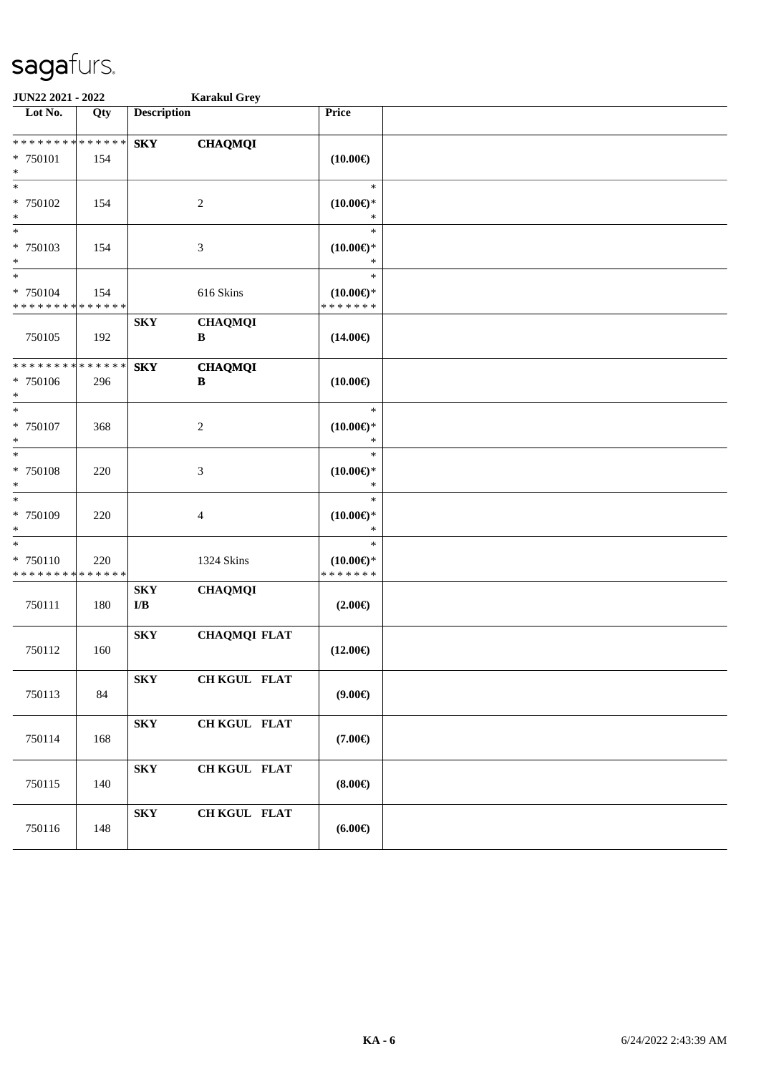| JUN22 2021 - 2022                                 |     | <b>Karakul Grey</b>                                |                                |                                                |  |
|---------------------------------------------------|-----|----------------------------------------------------|--------------------------------|------------------------------------------------|--|
| Lot No.                                           | Qty | <b>Description</b>                                 |                                | Price                                          |  |
| * * * * * * * * * * * * * *<br>* 750101<br>$\ast$ | 154 | <b>SKY</b>                                         | <b>CHAQMQI</b>                 | $(10.00\epsilon)$                              |  |
| $*$<br>* 750102<br>$\ast$                         | 154 |                                                    | $\overline{c}$                 | $\ast$<br>$(10.00\epsilon)$ *<br>$\ast$        |  |
| $*$<br>* 750103<br>$\ast$                         | 154 |                                                    | 3                              | $\ast$<br>$(10.00\epsilon)$ *<br>$\ast$        |  |
| $\ast$<br>* 750104<br>* * * * * * * * * * * * * * | 154 |                                                    | 616 Skins                      | $\ast$<br>$(10.00\epsilon)$ *<br>* * * * * * * |  |
| 750105                                            | 192 | ${\bf S}{\bf K}{\bf Y}$                            | <b>CHAQMQI</b><br>$\, {\bf B}$ | $(14.00\epsilon)$                              |  |
| * * * * * * * * * * * * * *<br>* 750106<br>$\ast$ | 296 | <b>SKY</b>                                         | <b>CHAQMQI</b><br>B            | $(10.00\epsilon)$                              |  |
| $\ast$<br>$* 750107$<br>$\ast$                    | 368 |                                                    | $\boldsymbol{2}$               | $\ast$<br>$(10.00\epsilon)$ *<br>$\ast$        |  |
| $\ast$<br>* 750108<br>$\ast$                      | 220 |                                                    | 3                              | $\ast$<br>$(10.00\epsilon)$ *<br>$\ast$        |  |
| $*$<br>* 750109<br>$\ast$                         | 220 |                                                    | 4                              | $\ast$<br>$(10.00\epsilon)$ *<br>$\ast$        |  |
| $\ast$<br>* 750110<br>* * * * * * * * * * * * * * | 220 |                                                    | 1324 Skins                     | $\ast$<br>$(10.00\epsilon)$ *<br>* * * * * * * |  |
| 750111                                            | 180 | ${\bf S}{\bf K}{\bf Y}$<br>$\mathbf{I}/\mathbf{B}$ | <b>CHAQMQI</b>                 | $(2.00\epsilon)$                               |  |
| 750112                                            | 160 | ${\bf S}{\bf K}{\bf Y}$                            | <b>CHAQMQI FLAT</b>            | $(12.00\epsilon)$                              |  |
| 750113                                            | 84  | <b>SKY</b>                                         | CH KGUL FLAT                   | (9.00)                                         |  |
| 750114                                            | 168 | <b>SKY</b>                                         | CH KGUL FLAT                   | $(7.00\epsilon)$                               |  |
| 750115                                            | 140 | <b>SKY</b>                                         | CH KGUL FLAT                   | $(8.00\epsilon)$                               |  |
| 750116                                            | 148 | ${\bf S}{\bf K}{\bf Y}$                            | CH KGUL FLAT                   | (6.00)                                         |  |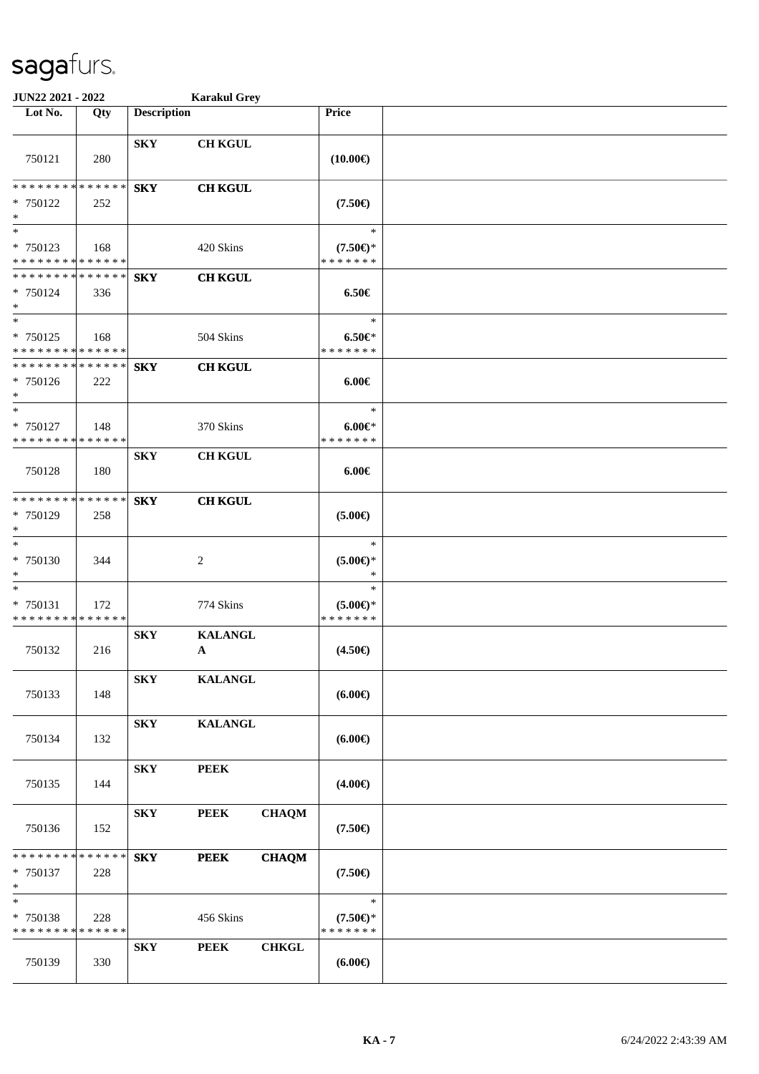| JUN22 2021 - 2022                                     |     |                    | <b>Karakul Grey</b>            |              |                                               |  |
|-------------------------------------------------------|-----|--------------------|--------------------------------|--------------|-----------------------------------------------|--|
| Lot No.                                               | Qty | <b>Description</b> |                                |              | Price                                         |  |
| 750121                                                | 280 | <b>SKY</b>         | <b>CH KGUL</b>                 |              | $(10.00\epsilon)$                             |  |
| * * * * * * * * * * * * * *<br>* 750122<br>$\ast$     | 252 | <b>SKY</b>         | <b>CH KGUL</b>                 |              | $(7.50\epsilon)$                              |  |
| $*$<br>* 750123<br>* * * * * * * * * * * * * *        | 168 |                    | 420 Skins                      |              | $\ast$<br>$(7.50\epsilon)$ *<br>* * * * * * * |  |
| * * * * * * * * * * * * * *<br>* 750124<br>$*$<br>$*$ | 336 | <b>SKY</b>         | <b>CH KGUL</b>                 |              | $6.50 \in$<br>$\ast$                          |  |
| * 750125<br>* * * * * * * * * * * * * *               | 168 |                    | 504 Skins                      |              | $6.50 \in$<br>* * * * * * *                   |  |
| * * * * * * * * * * * * * *<br>* 750126<br>$\ast$     | 222 | <b>SKY</b>         | <b>CH KGUL</b>                 |              | $6.00 \in$                                    |  |
| $*$<br>* 750127<br>* * * * * * * * * * * * * *        | 148 |                    | 370 Skins                      |              | $\ast$<br>$6.00 \in$<br>* * * * * * *         |  |
| 750128                                                | 180 | <b>SKY</b>         | <b>CH KGUL</b>                 |              | $6.00 \in$                                    |  |
| * * * * * * * * * * * * * *<br>* 750129<br>$*$        | 258 | <b>SKY</b>         | <b>CH KGUL</b>                 |              | $(5.00\epsilon)$                              |  |
| $*$<br>* 750130<br>$*$                                | 344 |                    | 2                              |              | $\ast$<br>$(5.00 \in )^*$<br>$\ast$           |  |
| $\ast$<br>* 750131<br>* * * * * * * * * * * * * *     | 172 |                    | 774 Skins                      |              | $\ast$<br>$(5.00 \in )^*$<br>* * * * * * *    |  |
| 750132                                                | 216 | <b>SKY</b>         | <b>KALANGL</b><br>$\mathbf{A}$ |              | $(4.50\epsilon)$                              |  |
| 750133                                                | 148 | <b>SKY</b>         | <b>KALANGL</b>                 |              | $(6.00\epsilon)$                              |  |
| 750134                                                | 132 | <b>SKY</b>         | <b>KALANGL</b>                 |              | $(6.00\epsilon)$                              |  |
| 750135                                                | 144 | <b>SKY</b>         | <b>PEEK</b>                    |              | $(4.00\epsilon)$                              |  |
| 750136                                                | 152 | <b>SKY</b>         | <b>PEEK</b>                    | <b>CHAQM</b> | $(7.50\epsilon)$                              |  |
| * * * * * * * * * * * * * *<br>* 750137<br>$*$        | 228 | <b>SKY</b>         | <b>PEEK</b>                    | <b>CHAQM</b> | $(7.50\epsilon)$                              |  |
| $*$<br>* 750138<br>* * * * * * * * * * * * * *        | 228 |                    | 456 Skins                      |              | $\ast$<br>$(7.50 \in )^*$<br>* * * * * * *    |  |
| 750139                                                | 330 | <b>SKY</b>         | <b>PEEK</b>                    | <b>CHKGL</b> | $(6.00\epsilon)$                              |  |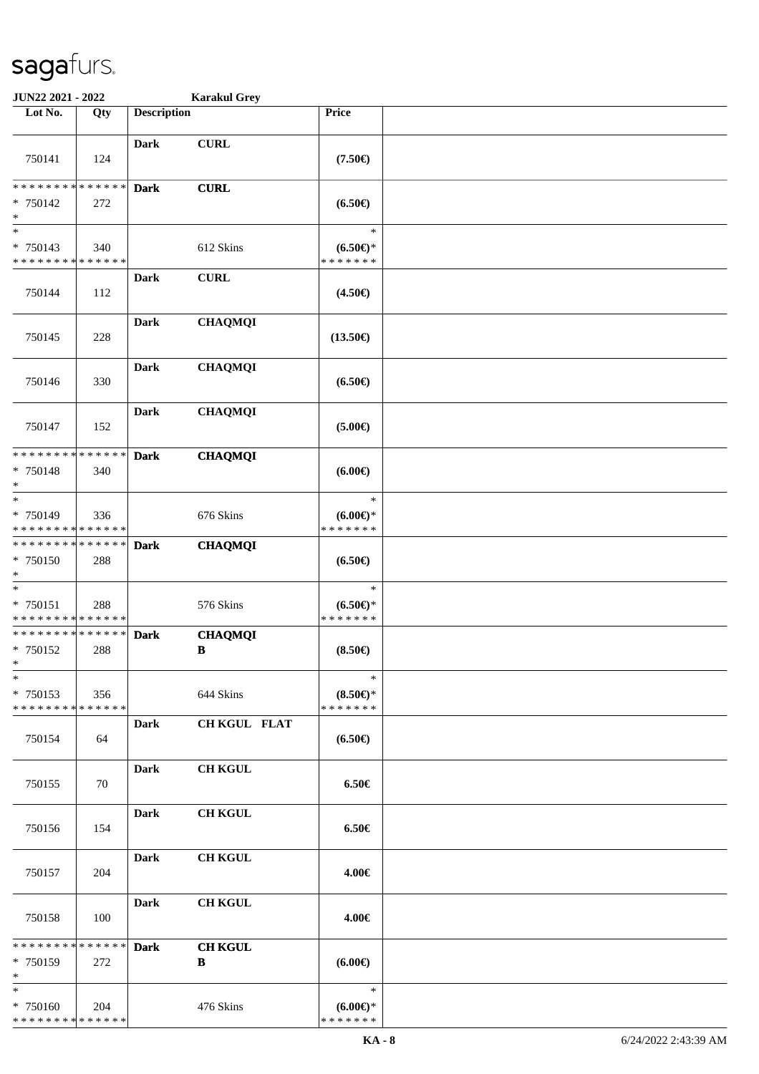| JUN22 2021 - 2022                                    |                    |                    | <b>Karakul Grey</b> |                                            |  |
|------------------------------------------------------|--------------------|--------------------|---------------------|--------------------------------------------|--|
| Lot No.                                              | Qty                | <b>Description</b> |                     | Price                                      |  |
| 750141                                               | 124                | Dark               | <b>CURL</b>         | $(7.50\epsilon)$                           |  |
| * * * * * * * *<br>* 750142<br>$\ast$                | * * * * * *<br>272 | <b>Dark</b>        | <b>CURL</b>         | $(6.50\epsilon)$                           |  |
| $\ast$<br>* 750143<br>* * * * * * * *                | 340<br>* * * * * * |                    | 612 Skins           | $\ast$<br>$(6.50 \in )^*$<br>* * * * * * * |  |
| 750144                                               | 112                | Dark               | <b>CURL</b>         | $(4.50\epsilon)$                           |  |
| 750145                                               | 228                | <b>Dark</b>        | <b>CHAQMQI</b>      | $(13.50\epsilon)$                          |  |
| 750146                                               | 330                | Dark               | <b>CHAQMQI</b>      | $(6.50\epsilon)$                           |  |
| 750147                                               | 152                | <b>Dark</b>        | <b>CHAQMQI</b>      | $(5.00\epsilon)$                           |  |
| * * * * * * * *<br>* 750148<br>$\ast$                | * * * * * *<br>340 | <b>Dark</b>        | <b>CHAQMQI</b>      | (6.00)                                     |  |
| $\ast$<br>* 750149<br>* * * * * * * * * * * * * *    | 336                |                    | 676 Skins           | $\ast$<br>(6.00)<br>* * * * * * *          |  |
| * * * * * * * * * * * * * *<br>* 750150<br>$\ast$    | 288                | <b>Dark</b>        | <b>CHAQMQI</b>      | $(6.50\epsilon)$                           |  |
| $\ast$<br>* 750151<br>* * * * * * * * * * * * * *    | 288                |                    | 576 Skins           | $\ast$<br>$(6.50*)$<br>* * * * * * *       |  |
| ******** <mark>******</mark><br>* 750152<br>$*$      | 288                | <b>Dark</b>        | <b>CHAQMQI</b><br>B | $(8.50 \in )$                              |  |
| $\ast$<br>* 750153<br>* * * * * * * * * * * * * *    | 356                |                    | 644 Skins           | $\ast$<br>$(8.50 \in )^*$<br>* * * * * * * |  |
| 750154                                               | 64                 | Dark               | <b>CH KGUL FLAT</b> | $(6.50\epsilon)$                           |  |
| 750155                                               | 70                 | Dark               | <b>CH KGUL</b>      | $6.50 \in$                                 |  |
| 750156                                               | 154                | Dark               | <b>CH KGUL</b>      | $6.50 \in$                                 |  |
| 750157                                               | 204                | Dark               | <b>CH KGUL</b>      | 4.00€                                      |  |
| 750158                                               | 100                | Dark               | <b>CH KGUL</b>      | 4.00€                                      |  |
| ******** <mark>******</mark><br>$* 750159$<br>$\ast$ | 272                | <b>Dark</b>        | <b>CH KGUL</b><br>B | $(6.00\epsilon)$                           |  |
| $\ast$<br>* 750160<br>* * * * * * * * * * * * * *    | 204                |                    | 476 Skins           | $\ast$<br>$(6.00E)$ *<br>* * * * * * *     |  |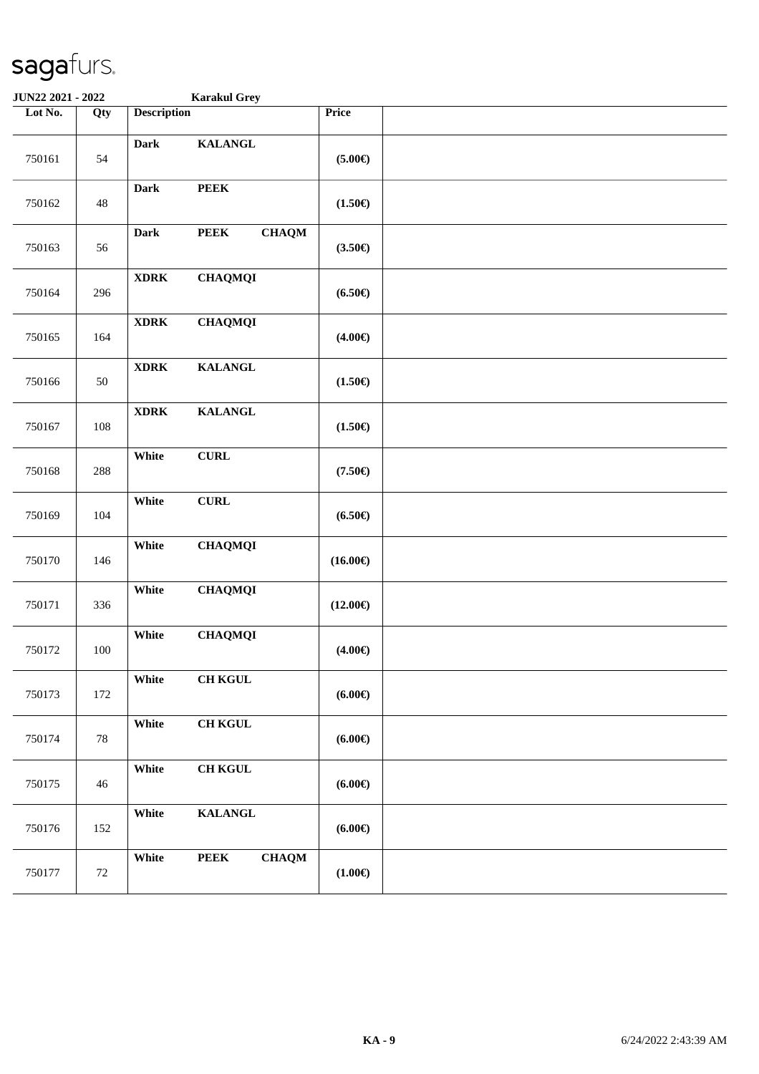| JUN22 2021 - 2022 |        |                    | <b>Karakul Grey</b>         |                      |  |
|-------------------|--------|--------------------|-----------------------------|----------------------|--|
| Lot No.           | Qty    | <b>Description</b> |                             | Price                |  |
| 750161            | 54     | Dark               | <b>KALANGL</b>              | $(5.00\epsilon)$     |  |
| 750162            | 48     | <b>Dark</b>        | ${\bf PEEK}$                | $(1.50\epsilon)$     |  |
| 750163            | 56     | Dark               | <b>CHAQM</b><br><b>PEEK</b> | $(3.50\epsilon)$     |  |
| 750164            | 296    | <b>XDRK</b>        | <b>CHAQMQI</b>              | $(6.50\epsilon)$     |  |
| 750165            | 164    | $\bold{XDRK}$      | <b>CHAQMQI</b>              | $(4.00\epsilon)$     |  |
| 750166            | 50     | $\bold{XDRK}$      | <b>KALANGL</b>              | $(1.50\epsilon)$     |  |
| 750167            | 108    | $\bold{XDRK}$      | <b>KALANGL</b>              | $(1.50\epsilon)$     |  |
| 750168            | 288    | White              | <b>CURL</b>                 | $(7.50\epsilon)$     |  |
| 750169            | 104    | White              | ${\bf CURL}$                | $(6.50\epsilon)$     |  |
| 750170            | 146    | White              | <b>CHAQMQI</b>              | $(16.00\epsilon)$    |  |
| 750171            | 336    | White              | <b>CHAQMQI</b>              | $(12.00\epsilon)$    |  |
| 750172            | 100    | White              | <b>CHAQMQI</b>              | $(4.00\epsilon)$     |  |
| 750173            | 172    | White              | <b>CH KGUL</b>              | (6.00 <sup>ε</sup> ) |  |
| 750174            | 78     | White              | <b>CH KGUL</b>              | $(6.00\epsilon)$     |  |
| 750175            | 46     | White              | <b>CH KGUL</b>              | (6.00 <sup>ε</sup> ) |  |
| 750176            | 152    | White              | <b>KALANGL</b>              | $(6.00\epsilon)$     |  |
| 750177            | $72\,$ | White              | <b>PEEK</b><br><b>CHAQM</b> | $(1.00\epsilon)$     |  |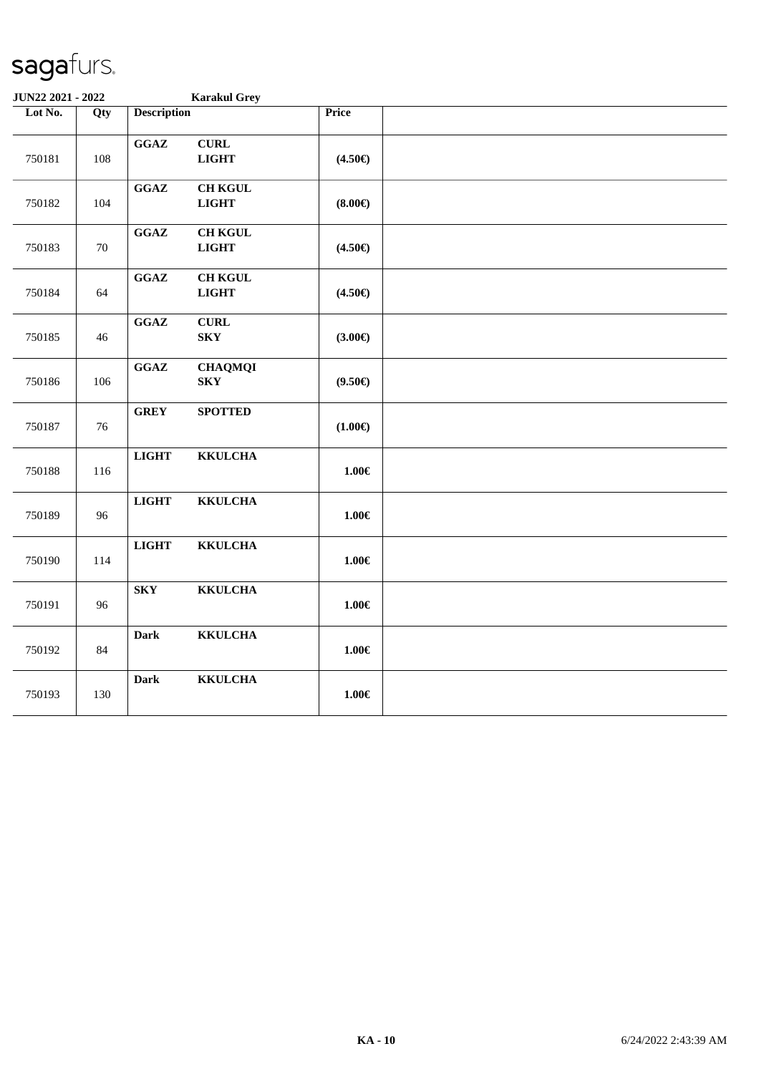| JUN22 2021 - 2022 |        |                                            | <b>Karakul Grey</b>            |                  |  |
|-------------------|--------|--------------------------------------------|--------------------------------|------------------|--|
| Lot No.           | Qty    | <b>Description</b>                         |                                | <b>Price</b>     |  |
| 750181            | 108    | GGAZ                                       | <b>CURL</b><br><b>LIGHT</b>    | $(4.50\epsilon)$ |  |
| 750182            | 104    | $\mathbf{G}\mathbf{G}\mathbf{A}\mathbf{Z}$ | <b>CH KGUL</b><br><b>LIGHT</b> | $(8.00\epsilon)$ |  |
| 750183            | $70\,$ | $\mathbf{G}\mathbf{G}\mathbf{A}\mathbf{Z}$ | <b>CH KGUL</b><br><b>LIGHT</b> | $(4.50\epsilon)$ |  |
| 750184            | 64     | $\mathbf{G}\mathbf{G}\mathbf{A}\mathbf{Z}$ | <b>CH KGUL</b><br><b>LIGHT</b> | $(4.50\epsilon)$ |  |
| 750185            | 46     | GGAZ<br><b>SKY</b>                         | <b>CURL</b>                    | $(3.00 \in )$    |  |
| 750186            | 106    | GGAZ<br>${\bf S}{\bf K}{\bf Y}$            | <b>CHAQMQI</b>                 | $(9.50\epsilon)$ |  |
| 750187            | 76     | <b>GREY</b>                                | <b>SPOTTED</b>                 | $(1.00\epsilon)$ |  |
| 750188            | 116    | <b>LIGHT</b>                               | <b>KKULCHA</b>                 | $1.00\in$        |  |
| 750189            | 96     | <b>LIGHT</b>                               | <b>KKULCHA</b>                 | $1.00 \in$       |  |
| 750190            | 114    | <b>LIGHT</b>                               | <b>KKULCHA</b>                 | $1.00 \in$       |  |
| 750191            | 96     | ${\bf S}{\bf K}{\bf Y}$                    | <b>KKULCHA</b>                 | $1.00 \in$       |  |
| 750192            | 84     | <b>Dark</b>                                | <b>KKULCHA</b>                 | $1.00\in$        |  |
| 750193            | 130    | <b>Dark</b>                                | <b>KKULCHA</b>                 | $1.00\in$        |  |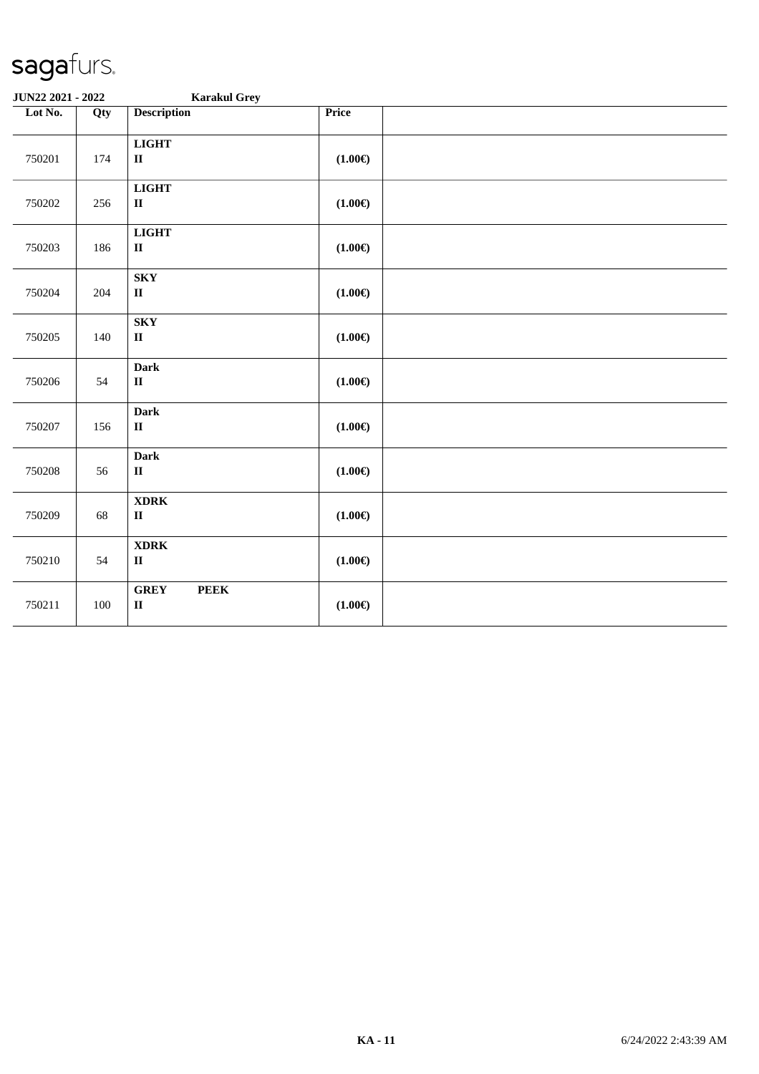| JUN22 2021 - 2022 |         | <b>Karakul Grey</b>                                  |                  |  |
|-------------------|---------|------------------------------------------------------|------------------|--|
| Lot No.           | Qty     | <b>Description</b>                                   | Price            |  |
| 750201            | 174     | $_{\rm LIGHT}$<br>$\mathbf{I}\mathbf{I}$             | $(1.00\epsilon)$ |  |
| 750202            | 256     | <b>LIGHT</b><br>$\mathbf{I}\mathbf{I}$               | $(1.00\epsilon)$ |  |
| 750203            | 186     | <b>LIGHT</b><br>$\rm II$                             | $(1.00\epsilon)$ |  |
| 750204            | 204     | ${\bf S}{\bf K}{\bf Y}$<br>$\rm II$                  | $(1.00\epsilon)$ |  |
| 750205            | 140     | <b>SKY</b><br>$\mathbf{I}\mathbf{I}$                 | $(1.00\epsilon)$ |  |
| 750206            | 54      | <b>Dark</b><br>$\mathbf{I}\mathbf{I}$                | $(1.00\epsilon)$ |  |
| 750207            | 156     | <b>Dark</b><br>$\rm II$                              | $(1.00\epsilon)$ |  |
| 750208            | 56      | <b>Dark</b><br>$\mathbf{I}\mathbf{I}$                | $(1.00\epsilon)$ |  |
| 750209            | 68      | $\bold{XDRK}$<br>$\mathbf{I}\mathbf{I}$              | $(1.00\epsilon)$ |  |
| 750210            | 54      | <b>XDRK</b><br>$\mathbf{I}\mathbf{I}$                | $(1.00\epsilon)$ |  |
| 750211            | $100\,$ | <b>GREY</b><br><b>PEEK</b><br>$\mathbf{I}\mathbf{I}$ | $(1.00\epsilon)$ |  |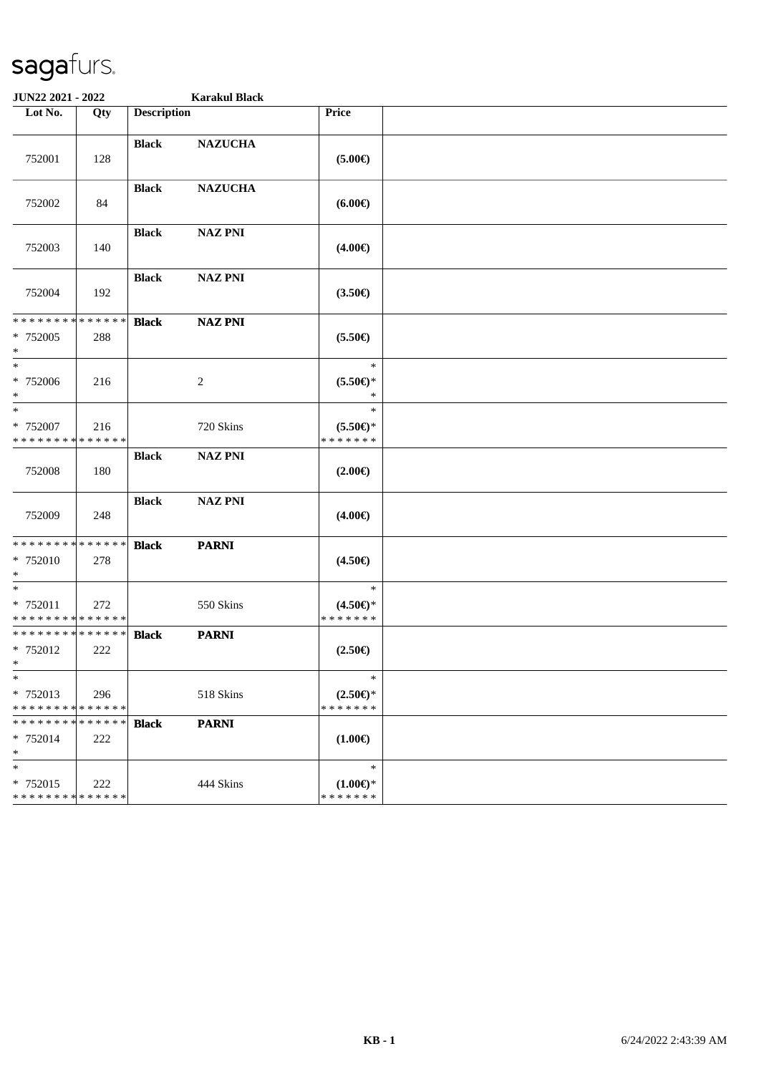| JUN22 2021 - 2022                                      |                    |                    | <b>Karakul Black</b> |                                               |  |  |  |  |
|--------------------------------------------------------|--------------------|--------------------|----------------------|-----------------------------------------------|--|--|--|--|
| Lot No.                                                | Qty                | <b>Description</b> |                      | Price                                         |  |  |  |  |
| 752001                                                 | 128                | <b>Black</b>       | <b>NAZUCHA</b>       | $(5.00\epsilon)$                              |  |  |  |  |
| 752002                                                 | 84                 | <b>Black</b>       | <b>NAZUCHA</b>       | $(6.00\epsilon)$                              |  |  |  |  |
| 752003                                                 | 140                | <b>Black</b>       | <b>NAZ PNI</b>       | $(4.00\epsilon)$                              |  |  |  |  |
| 752004                                                 | 192                | <b>Black</b>       | <b>NAZ PNI</b>       | $(3.50\epsilon)$                              |  |  |  |  |
| * * * * * * * * * * * * * *<br>* 752005<br>$*$         | 288                | <b>Black</b>       | <b>NAZ PNI</b>       | $(5.50\epsilon)$                              |  |  |  |  |
| $*$<br>* 752006<br>$*$                                 | 216                |                    | 2                    | $\ast$<br>$(5.50 \in )^*$<br>$\ast$           |  |  |  |  |
| $*$<br>* 752007<br>* * * * * * * * * * * * * *         | 216                |                    | 720 Skins            | $\ast$<br>$(5.50 \in )^*$<br>* * * * * * *    |  |  |  |  |
| 752008                                                 | 180                | <b>Black</b>       | <b>NAZ PNI</b>       | $(2.00\epsilon)$                              |  |  |  |  |
| 752009                                                 | 248                | <b>Black</b>       | <b>NAZ PNI</b>       | $(4.00\epsilon)$                              |  |  |  |  |
| * * * * * * * * * * * * * *<br>* 752010<br>$\ast$      | 278                | <b>Black</b>       | <b>PARNI</b>         | $(4.50\epsilon)$                              |  |  |  |  |
| $*$<br>* 752011<br>* * * * * * * * * * * * * *         | 272                |                    | 550 Skins            | $\ast$<br>$(4.50 \in )^*$<br>* * * * * * *    |  |  |  |  |
| * * * * * * * * * * * * * * *<br>* 752012<br>$\star$ . | 222                | <b>Black</b>       | <b>PARNI</b>         | $(2.50\epsilon)$                              |  |  |  |  |
| $\ast$<br>* 752013<br>* * * * * * * * * * * * * *      | 296                |                    | 518 Skins            | $\ast$<br>$(2.50\epsilon)$ *<br>* * * * * * * |  |  |  |  |
| * * * * * * * *<br>* 752014<br>$*$                     | * * * * * *<br>222 | <b>Black</b>       | <b>PARNI</b>         | $(1.00\epsilon)$                              |  |  |  |  |
| $\ast$<br>* 752015<br>* * * * * * * * * * * * * *      | 222                |                    | 444 Skins            | $\ast$<br>$(1.00 \in )^*$<br>* * * * * * *    |  |  |  |  |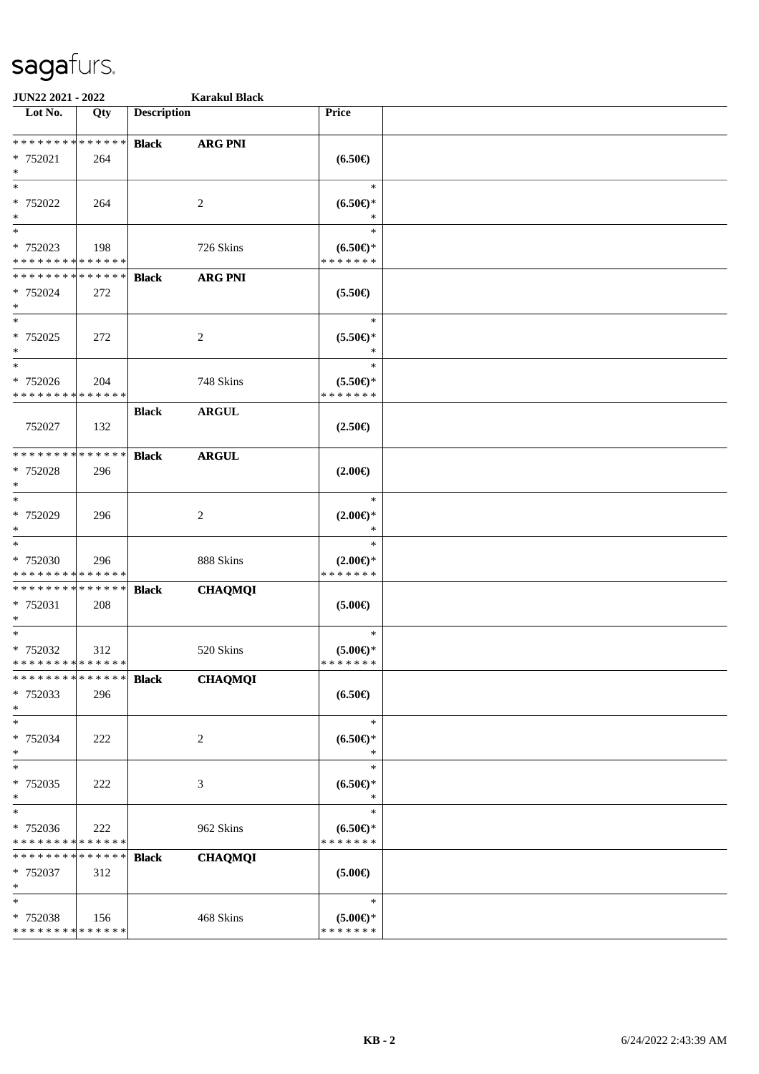| JUN22 2021 - 2022                                                   |     |                    | <b>Karakul Black</b> |                                               |  |
|---------------------------------------------------------------------|-----|--------------------|----------------------|-----------------------------------------------|--|
| Lot No.                                                             | Qty | <b>Description</b> |                      | Price                                         |  |
| * * * * * * * * * * * * * *<br>* 752021<br>$\ast$                   | 264 | <b>Black</b>       | <b>ARG PNI</b>       | $(6.50\epsilon)$                              |  |
| $\ast$<br>* 752022<br>$\ast$                                        | 264 |                    | 2                    | $\ast$<br>$(6.50*)$<br>∗                      |  |
| $\overline{\phantom{1}}$<br>* 752023<br>* * * * * * * * * * * * * * | 198 |                    | 726 Skins            | $\ast$<br>$(6.50ε)$ *<br>* * * * * * *        |  |
| **************<br>* 752024<br>$\ast$                                | 272 | <b>Black</b>       | <b>ARG PNI</b>       | $(5.50\epsilon)$                              |  |
| $\ast$<br>$* 752025$<br>$\ast$                                      | 272 |                    | 2                    | $\ast$<br>$(5.50 \in )^*$<br>$\ast$           |  |
| $\ast$<br>* 752026<br>* * * * * * * * * * * * * *                   | 204 |                    | 748 Skins            | $\ast$<br>$(5.50 \in )^*$<br>* * * * * * *    |  |
| 752027                                                              | 132 | <b>Black</b>       | <b>ARGUL</b>         | $(2.50\epsilon)$                              |  |
| **************<br>* 752028<br>$\ast$                                | 296 | <b>Black</b>       | <b>ARGUL</b>         | $(2.00\epsilon)$                              |  |
| $\ast$<br>* 752029<br>$\ast$                                        | 296 |                    | $\overline{c}$       | $\ast$<br>$(2.00\epsilon)$ *<br>$\ast$        |  |
| $\ast$<br>* 752030<br>* * * * * * * * * * * * * *                   | 296 |                    | 888 Skins            | $\ast$<br>$(2.00\epsilon)$ *<br>* * * * * * * |  |
| * * * * * * * * * * * * * *<br>* 752031<br>$\ast$                   | 208 | <b>Black</b>       | <b>CHAQMQI</b>       | $(5.00\epsilon)$                              |  |
| $\ast$<br>* 752032<br>**************                                | 312 |                    | 520 Skins            | $\ast$<br>$(5.00 \in )^*$<br>* * * * * * *    |  |
| * * * * * * * * * * * * * *<br>* 752033<br>$\ast$                   | 296 | <b>Black</b>       | <b>CHAQMQI</b>       | $(6.50\epsilon)$                              |  |
| $\ast$<br>* 752034<br>$\ast$                                        | 222 |                    | 2                    | $\ast$<br>$(6.50*)$<br>$\ast$                 |  |
| $\ast$<br>* 752035<br>$\ast$                                        | 222 |                    | 3                    | $\ast$<br>$(6.50*)$<br>$\ast$                 |  |
| $\ast$<br>* 752036<br>* * * * * * * * * * * * * *                   | 222 |                    | 962 Skins            | $\ast$<br>$(6.50*)$<br>* * * * * * *          |  |
| * * * * * * * * * * * * * * *<br>* 752037<br>$\ast$                 | 312 | <b>Black</b>       | <b>CHAQMQI</b>       | $(5.00\epsilon)$                              |  |
| $\ast$<br>* 752038<br>* * * * * * * * * * * * * *                   | 156 |                    | 468 Skins            | $\ast$<br>$(5.00 \in )^*$<br>* * * * * * *    |  |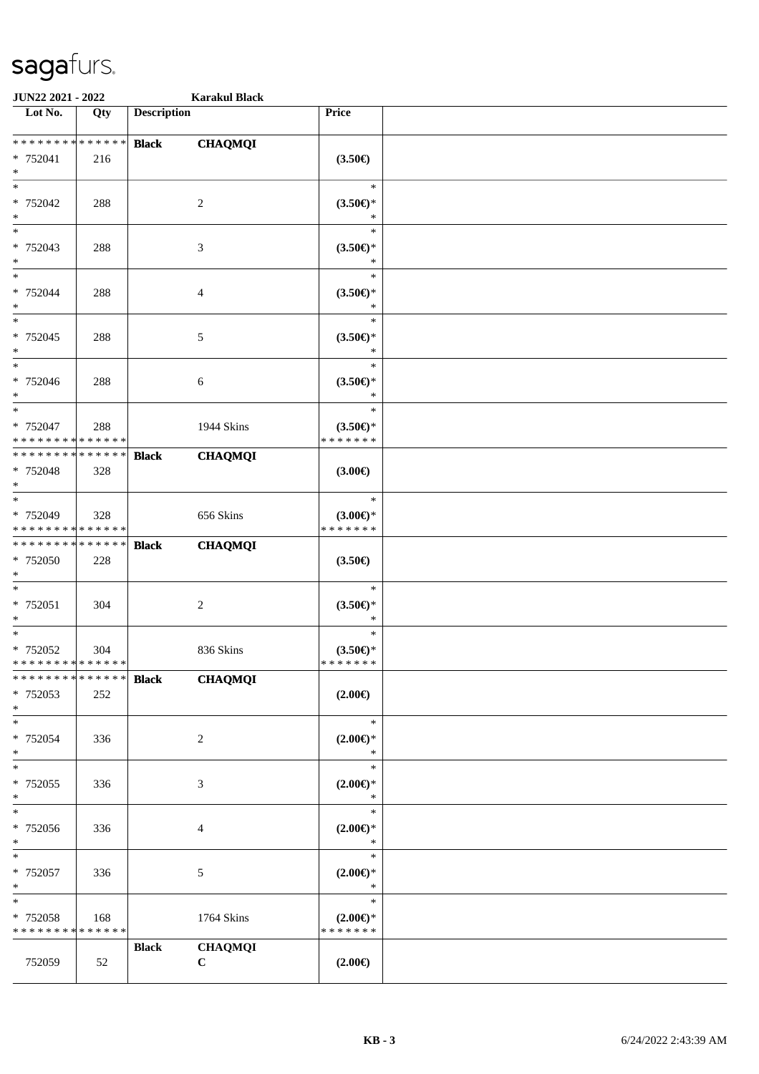| <b>JUN22 2021 - 2022</b>                   |     |                    | <b>Karakul Black</b> |                    |  |
|--------------------------------------------|-----|--------------------|----------------------|--------------------|--|
| Lot No.                                    | Qty | <b>Description</b> |                      | Price              |  |
|                                            |     |                    |                      |                    |  |
| * * * * * * * * <mark>* * * * * * *</mark> |     | <b>Black</b>       | <b>CHAQMQI</b>       |                    |  |
| * 752041                                   | 216 |                    |                      | $(3.50\epsilon)$   |  |
| $\ast$                                     |     |                    |                      |                    |  |
| $_{*}$                                     |     |                    |                      | $\ast$             |  |
| * 752042                                   | 288 |                    | 2                    | $(3.50 \in )^*$    |  |
| $\ast$                                     |     |                    |                      | *                  |  |
| $\overline{\phantom{0}}$                   |     |                    |                      | $\ast$             |  |
| * 752043                                   | 288 |                    | 3                    | $(3.50 \in )^*$    |  |
| $*$                                        |     |                    |                      | $\ast$             |  |
| $\ast$                                     |     |                    |                      | $\ast$             |  |
| * 752044                                   | 288 |                    | 4                    | $(3.50\epsilon)$ * |  |
| $*$                                        |     |                    |                      | $\ast$             |  |
| $\ast$                                     |     |                    |                      | $\ast$             |  |
| * 752045                                   | 288 |                    | 5                    | $(3.50 \in )^*$    |  |
| $*$                                        |     |                    |                      | $\ast$             |  |
| $\overline{\phantom{0}}$                   |     |                    |                      | $\ast$             |  |
| * 752046                                   | 288 |                    | 6                    | $(3.50 \in )^*$    |  |
| $*$                                        |     |                    |                      | $\ast$             |  |
| $\overline{\ }$                            |     |                    |                      | $\ast$             |  |
| * 752047                                   | 288 |                    | 1944 Skins           | $(3.50 \in )^*$    |  |
| * * * * * * * * * * * * * *                |     |                    |                      | * * * * * * *      |  |
| * * * * * * * * * * * * * * *              |     | <b>Black</b>       | <b>CHAQMQI</b>       |                    |  |
| * 752048                                   | 328 |                    |                      | $(3.00\epsilon)$   |  |
| $\ast$                                     |     |                    |                      |                    |  |
| $\ast$                                     |     |                    |                      | $\ast$             |  |
| * 752049                                   | 328 |                    | 656 Skins            | $(3.00\epsilon)$ * |  |
| * * * * * * * * * * * * * *                |     |                    |                      | * * * * * * *      |  |
| * * * * * * * * * * * * * *                |     | <b>Black</b>       | <b>CHAQMQI</b>       |                    |  |
| * 752050                                   | 228 |                    |                      | $(3.50\epsilon)$   |  |
| $*$                                        |     |                    |                      |                    |  |
| $*$                                        |     |                    |                      | $\ast$             |  |
| * 752051                                   | 304 |                    | $\sqrt{2}$           | $(3.50\epsilon)$ * |  |
| $\ast$                                     |     |                    |                      | $\ast$             |  |
| $*$                                        |     |                    |                      | $\ast$             |  |
| * 752052                                   | 304 |                    | 836 Skins            | $(3.50\epsilon)$ * |  |
| * * * * * * * * <mark>* * * * * * *</mark> |     |                    |                      | * * * * * * *      |  |
| * * * * * * * * * * * * * * *              |     | <b>Black</b>       | <b>CHAQMQI</b>       |                    |  |
| * 752053                                   | 252 |                    |                      | $(2.00\epsilon)$   |  |
| $\ast$                                     |     |                    |                      |                    |  |
| $*$                                        |     |                    |                      | $\ast$             |  |
| * 752054                                   | 336 |                    | 2                    | $(2.00\epsilon)$ * |  |
| $*$                                        |     |                    |                      | $\ast$             |  |
| $*$                                        |     |                    |                      | $\ast$             |  |
| * 752055                                   | 336 |                    | 3                    | $(2.00\epsilon)$ * |  |
| $*$                                        |     |                    |                      | $\ast$             |  |
| $*$                                        |     |                    |                      | $\ast$             |  |
| * 752056                                   | 336 |                    | 4                    | $(2.00\epsilon)$ * |  |
| $*$                                        |     |                    |                      | $\ast$             |  |
| $*$                                        |     |                    |                      | $\ast$             |  |
| * 752057                                   | 336 |                    | 5                    | $(2.00\epsilon)$ * |  |
| $\ast$                                     |     |                    |                      | $\ast$             |  |
| $*$                                        |     |                    |                      | $\ast$             |  |
| * 752058                                   |     |                    | 1764 Skins           | $(2.00\epsilon)$ * |  |
| * * * * * * * * * * * * * *                | 168 |                    |                      | * * * * * * *      |  |
|                                            |     |                    |                      |                    |  |
|                                            |     | <b>Black</b>       | <b>CHAQMQI</b>       |                    |  |
| 752059                                     | 52  |                    | $\bf C$              | $(2.00\epsilon)$   |  |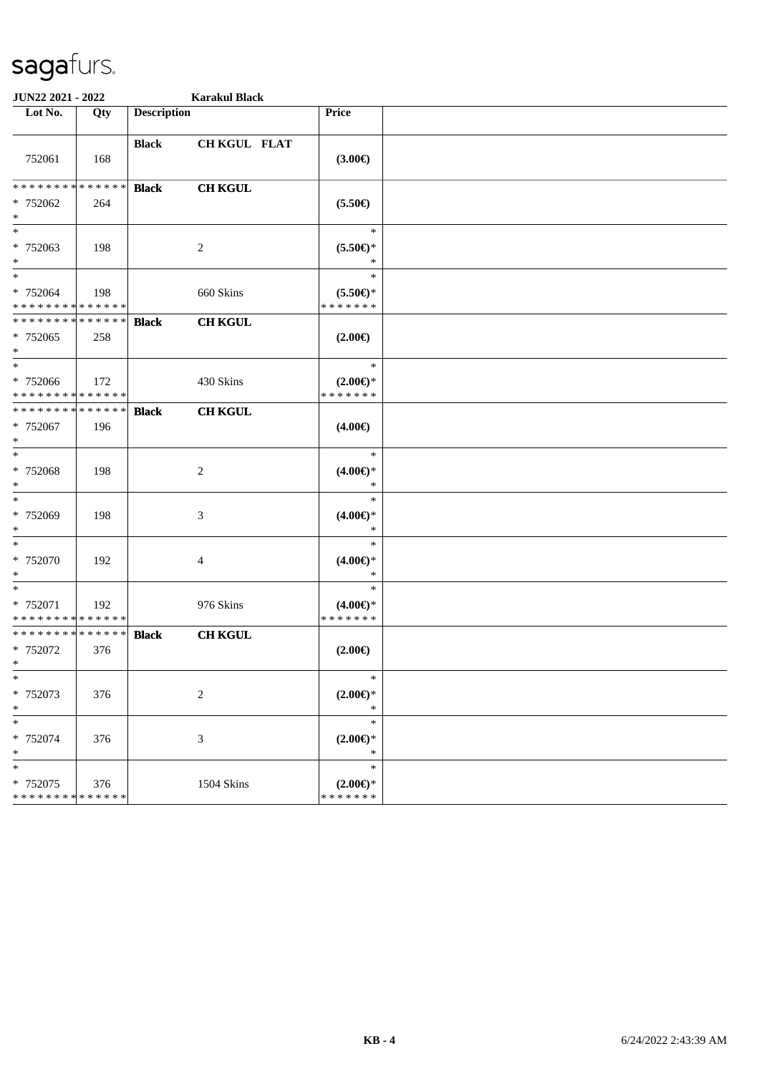| JUN22 2021 - 2022                                 |                    | <b>Karakul Black</b> |                   |                                               |  |
|---------------------------------------------------|--------------------|----------------------|-------------------|-----------------------------------------------|--|
| Lot No.                                           | Qty                | <b>Description</b>   |                   | Price                                         |  |
| 752061                                            | 168                | <b>Black</b>         | CH KGUL FLAT      | $(3.00\epsilon)$                              |  |
| * * * * * * * *<br>* 752062<br>$\ast$             | * * * * * *<br>264 | <b>Black</b>         | <b>CH KGUL</b>    | $(5.50\epsilon)$                              |  |
| $*$<br>* 752063<br>$\ast$                         | 198                |                      | 2                 | $\ast$<br>$(5.50 \in )^*$<br>∗                |  |
| $*$<br>* 752064<br>* * * * * * * * * * * * * *    | 198                |                      | 660 Skins         | $\ast$<br>$(5.50 \in )^*$<br>* * * * * * *    |  |
| * * * * * * * * * * * * * *<br>* 752065<br>$*$    | 258                | <b>Black</b>         | <b>CH KGUL</b>    | $(2.00\epsilon)$                              |  |
| $*$<br>$* 752066$<br>* * * * * * * * * * * * * *  | 172                |                      | 430 Skins         | $\ast$<br>$(2.00\epsilon)$ *<br>* * * * * * * |  |
| * * * * * * * * * * * * * *<br>* 752067<br>$*$    | 196                | <b>Black</b>         | <b>CH KGUL</b>    | $(4.00\epsilon)$                              |  |
| $\ast$<br>* 752068<br>$\ast$                      | 198                |                      | $\overline{c}$    | $\ast$<br>$(4.00\epsilon)$ *<br>$\ast$        |  |
| $*$<br>* 752069<br>$\ast$                         | 198                |                      | 3                 | $\ast$<br>$(4.00\epsilon)$ *<br>$\ast$        |  |
| $\ast$<br>* 752070<br>$*$                         | 192                |                      | 4                 | $\ast$<br>$(4.00E)$ *<br>$\ast$               |  |
| $\ast$<br>* 752071<br>* * * * * * * * * * * * * * | 192                |                      | 976 Skins         | $\ast$<br>$(4.00\epsilon)$ *<br>* * * * * * * |  |
| * * * * * * * * * * * * * *<br>* 752072<br>$*$    | 376                | <b>Black</b>         | <b>CH KGUL</b>    | $(2.00\epsilon)$                              |  |
| $\ast$<br>* 752073<br>$*$                         | 376                |                      | $\boldsymbol{2}$  | $\ast$<br>$(2.00\epsilon)$ *<br>$\ast$        |  |
| $\ast$<br>* 752074<br>$\ast$                      | 376                |                      | 3                 | $\ast$<br>$(2.00 \in )^*$<br>$\ast$           |  |
| $\ast$<br>* 752075<br>* * * * * * * * * * * * * * | 376                |                      | <b>1504 Skins</b> | $\ast$<br>$(2.00\epsilon)$ *<br>* * * * * * * |  |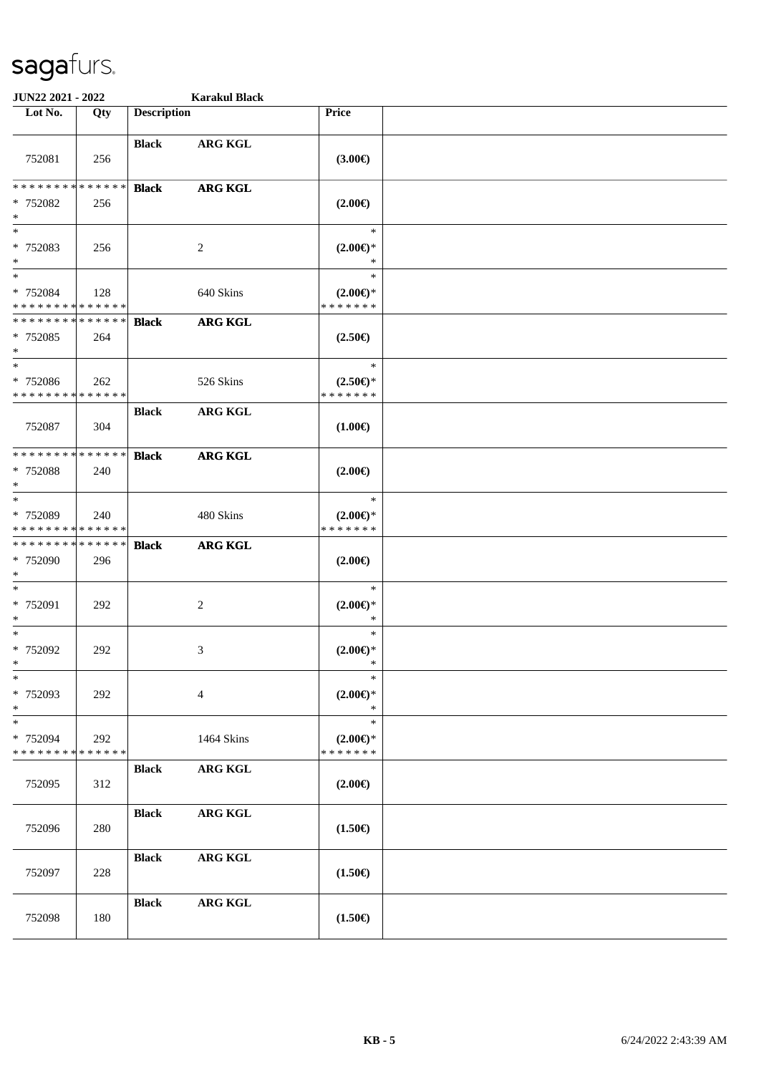| JUN22 2021 - 2022                                  |                    |                    | <b>Karakul Black</b> |                                               |  |
|----------------------------------------------------|--------------------|--------------------|----------------------|-----------------------------------------------|--|
| Lot No.                                            | Qty                | <b>Description</b> |                      | Price                                         |  |
| 752081                                             | 256                | <b>Black</b>       | <b>ARG KGL</b>       | (3.00)                                        |  |
| ******** <mark>******</mark><br>* 752082<br>$\ast$ | 256                | <b>Black</b>       | <b>ARG KGL</b>       | $(2.00\epsilon)$                              |  |
| $\ast$<br>* 752083<br>$\ast$                       | 256                |                    | $\overline{c}$       | $\ast$<br>$(2.00\epsilon)$ *<br>$\ast$        |  |
| $\ast$<br>* 752084<br>* * * * * * * * * * * * * *  | 128                |                    | 640 Skins            | $\ast$<br>$(2.00\epsilon)$ *<br>* * * * * * * |  |
| * * * * * * * * * * * * * *<br>* 752085<br>$\ast$  | 264                | <b>Black</b>       | <b>ARG KGL</b>       | $(2.50\epsilon)$                              |  |
| $\ast$<br>* 752086<br>* * * * * * * * * * * * * *  | 262                |                    | 526 Skins            | $\ast$<br>$(2.50 \in )^*$<br>* * * * * * *    |  |
| 752087                                             | 304                | <b>Black</b>       | <b>ARG KGL</b>       | $(1.00\epsilon)$                              |  |
| * * * * * * * * * * * * * *<br>* 752088<br>$\ast$  | 240                | <b>Black</b>       | <b>ARG KGL</b>       | $(2.00\epsilon)$                              |  |
| $\ast$<br>* 752089<br>* * * * * * * * * * * * * *  | 240                |                    | 480 Skins            | $\ast$<br>$(2.00\epsilon)$ *<br>* * * * * * * |  |
| * * * * * * * * * * * * * *<br>* 752090<br>$\ast$  | 296                | <b>Black</b>       | <b>ARG KGL</b>       | $(2.00\epsilon)$                              |  |
| $\ast$<br>* 752091<br>$\ast$                       | 292                |                    | $\overline{c}$       | $\ast$<br>$(2.00\epsilon)$ *<br>$\ast$        |  |
| $\ast$<br>* 752092<br>$\ast$                       | 292                |                    | 3                    | $\ast$<br>$(2.00\epsilon)$ *<br>$\ast$        |  |
| $\ast$<br>* 752093<br>$\ast$                       | 292                |                    | $\overline{4}$       | $\ast$<br>$(2.00\epsilon)$ *<br>$\ast$        |  |
| $\ast$<br>* 752094<br>* * * * * * * *              | 292<br>* * * * * * |                    | 1464 Skins           | $\ast$<br>$(2.00\epsilon)$ *<br>* * * * * * * |  |
| 752095                                             | 312                | <b>Black</b>       | ARG KGL              | $(2.00\epsilon)$                              |  |
| 752096                                             | 280                | <b>Black</b>       | <b>ARG KGL</b>       | $(1.50\epsilon)$                              |  |
| 752097                                             | 228                | <b>Black</b>       | <b>ARG KGL</b>       | $(1.50\epsilon)$                              |  |
| 752098                                             | 180                | <b>Black</b>       | ARG KGL              | $(1.50\epsilon)$                              |  |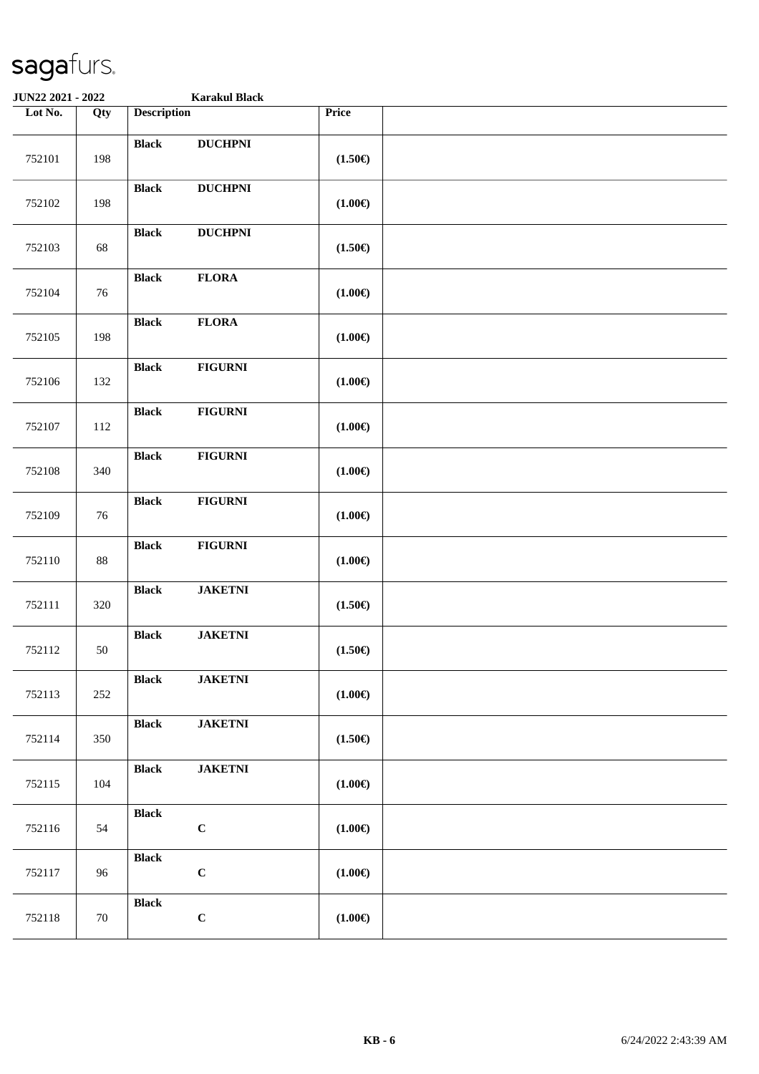| JUN22 2021 - 2022 |        |                             | <b>Karakul Black</b> |                  |  |
|-------------------|--------|-----------------------------|----------------------|------------------|--|
| Lot No.           | Qty    | <b>Description</b>          |                      | Price            |  |
| 752101            | 198    | <b>Black</b>                | <b>DUCHPNI</b>       | $(1.50\epsilon)$ |  |
| 752102            | 198    | <b>Black</b>                | <b>DUCHPNI</b>       | $(1.00\epsilon)$ |  |
| 752103            | 68     | <b>Black</b>                | <b>DUCHPNI</b>       | $(1.50\epsilon)$ |  |
| 752104            | 76     | <b>Black</b>                | <b>FLORA</b>         | $(1.00\epsilon)$ |  |
| 752105            | 198    | <b>Black</b>                | <b>FLORA</b>         | $(1.00\epsilon)$ |  |
| 752106            | 132    | <b>Black</b>                | <b>FIGURNI</b>       | $(1.00\epsilon)$ |  |
| 752107            | 112    | <b>Black</b>                | <b>FIGURNI</b>       | $(1.00\epsilon)$ |  |
| 752108            | 340    | <b>Black</b>                | <b>FIGURNI</b>       | $(1.00\epsilon)$ |  |
| 752109            | 76     | <b>Black</b>                | <b>FIGURNI</b>       | $(1.00\epsilon)$ |  |
| 752110            | $88\,$ | <b>Black</b>                | <b>FIGURNI</b>       | $(1.00\epsilon)$ |  |
| 752111            | 320    | <b>Black</b>                | <b>JAKETNI</b>       | $(1.50\epsilon)$ |  |
| 752112            | 50     | <b>Black</b>                | <b>JAKETNI</b>       | $(1.50\epsilon)$ |  |
| 752113            | 252    | <b>Black</b>                | <b>JAKETNI</b>       | $(1.00\epsilon)$ |  |
| 752114            | 350    | <b>Black</b>                | <b>JAKETNI</b>       | $(1.50\epsilon)$ |  |
| 752115            | 104    | <b>Black</b>                | <b>JAKETNI</b>       | $(1.00\epsilon)$ |  |
| 752116            | 54     | <b>Black</b><br>$\mathbf C$ |                      | $(1.00\epsilon)$ |  |
| 752117            | 96     | <b>Black</b><br>$\mathbf C$ |                      | $(1.00\epsilon)$ |  |
| 752118            | 70     | <b>Black</b><br>$\mathbf C$ |                      | $(1.00\epsilon)$ |  |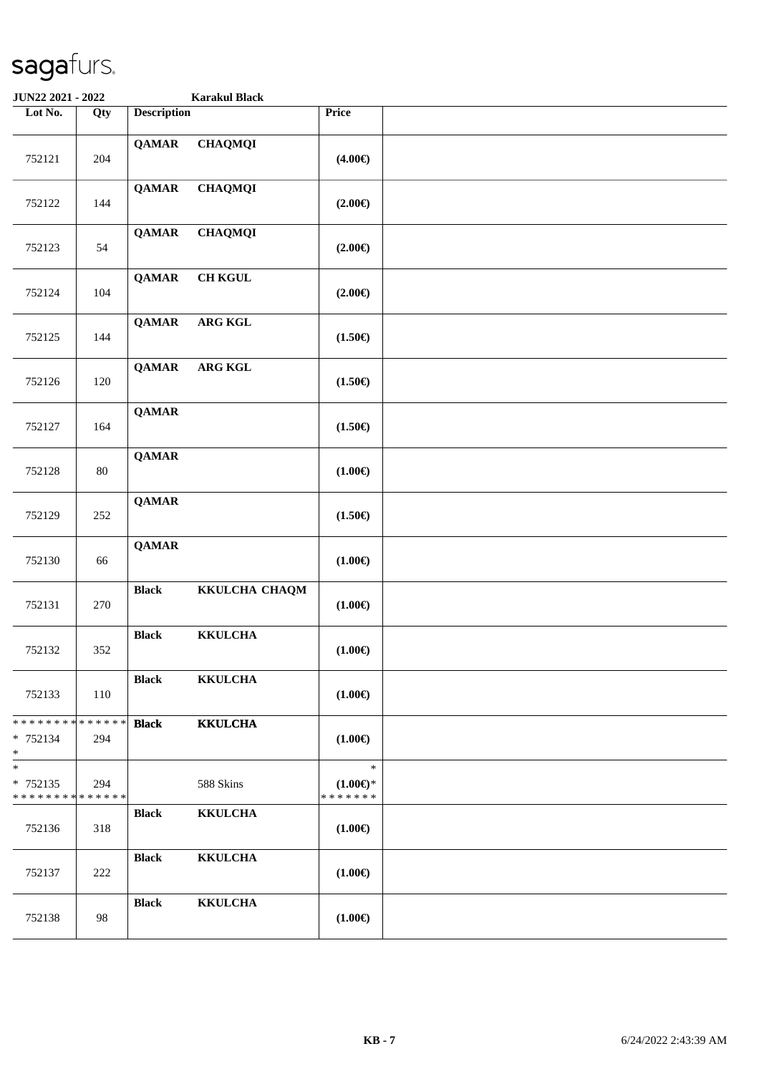| JUN22 2021 - 2022                              |        |                    | <b>Karakul Black</b> |                                               |  |
|------------------------------------------------|--------|--------------------|----------------------|-----------------------------------------------|--|
| Lot No.                                        | Qty    | <b>Description</b> |                      | Price                                         |  |
| 752121                                         | 204    | <b>QAMAR</b>       | <b>CHAQMQI</b>       | $(4.00\epsilon)$                              |  |
| 752122                                         | 144    | <b>QAMAR</b>       | <b>CHAQMQI</b>       | $(2.00\epsilon)$                              |  |
| 752123                                         | 54     | <b>QAMAR</b>       | <b>CHAQMQI</b>       | $(2.00\epsilon)$                              |  |
| 752124                                         | 104    | <b>QAMAR</b>       | <b>CH KGUL</b>       | $(2.00\epsilon)$                              |  |
| 752125                                         | 144    | <b>QAMAR</b>       | ARG KGL              | $(1.50\epsilon)$                              |  |
| 752126                                         | 120    | <b>QAMAR</b>       | <b>ARG KGL</b>       | $(1.50\epsilon)$                              |  |
| 752127                                         | 164    | <b>QAMAR</b>       |                      | $(1.50\epsilon)$                              |  |
| 752128                                         | $80\,$ | <b>QAMAR</b>       |                      | $(1.00\epsilon)$                              |  |
| 752129                                         | 252    | <b>QAMAR</b>       |                      | $(1.50\epsilon)$                              |  |
| 752130                                         | 66     | <b>QAMAR</b>       |                      | $(1.00\epsilon)$                              |  |
| 752131                                         | 270    | <b>Black</b>       | KKULCHA CHAQM        | $(1.00\epsilon)$                              |  |
| 752132                                         | 352    | <b>Black</b>       | <b>KKULCHA</b>       | $(1.00\epsilon)$                              |  |
| 752133                                         | 110    | <b>Black</b>       | <b>KKULCHA</b>       | $(1.00\epsilon)$                              |  |
| * * * * * * * * * * * * * *<br>* 752134<br>$*$ | 294    | <b>Black</b>       | <b>KKULCHA</b>       | $(1.00\epsilon)$                              |  |
| $*$<br>* 752135<br>* * * * * * * * * * * * * * | 294    |                    | 588 Skins            | $\ast$<br>$(1.00\epsilon)$ *<br>* * * * * * * |  |
| 752136                                         | 318    | <b>Black</b>       | <b>KKULCHA</b>       | $(1.00\epsilon)$                              |  |
| 752137                                         | 222    | <b>Black</b>       | <b>KKULCHA</b>       | $(1.00\epsilon)$                              |  |
| 752138                                         | 98     | <b>Black</b>       | <b>KKULCHA</b>       | $(1.00\epsilon)$                              |  |